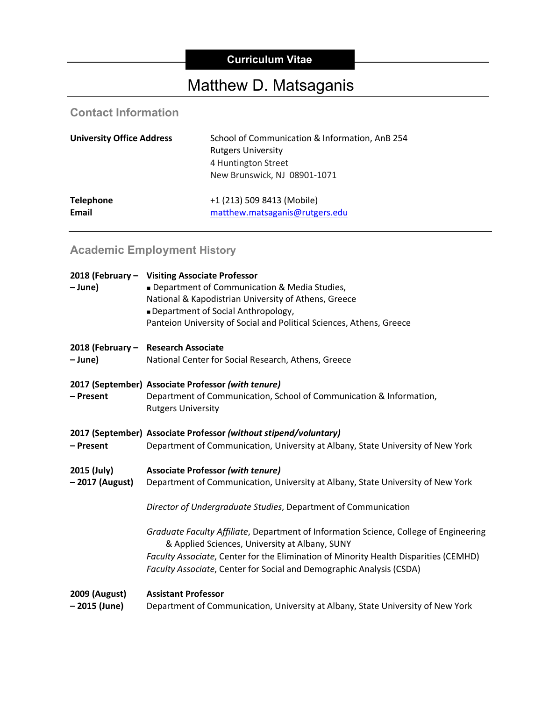# **Curriculum Vitae**

# Matthew D. Matsaganis

# **Contact Information**

| <b>University Office Address</b> | School of Communication & Information, AnB 254<br><b>Rutgers University</b><br>4 Huntington Street<br>New Brunswick, NJ 08901-1071 |
|----------------------------------|------------------------------------------------------------------------------------------------------------------------------------|
| <b>Telephone</b>                 | +1 (213) 509 8413 (Mobile)                                                                                                         |
| <b>Email</b>                     | matthew.matsaganis@rutgers.edu                                                                                                     |

# **Academic Employment History**

| - June)                        | 2018 (February - Visiting Associate Professor<br>Department of Communication & Media Studies,<br>National & Kapodistrian University of Athens, Greece<br>Department of Social Anthropology,<br>Panteion University of Social and Political Sciences, Athens, Greece                                     |
|--------------------------------|---------------------------------------------------------------------------------------------------------------------------------------------------------------------------------------------------------------------------------------------------------------------------------------------------------|
| – June)                        | 2018 (February - Research Associate<br>National Center for Social Research, Athens, Greece                                                                                                                                                                                                              |
| - Present                      | 2017 (September) Associate Professor (with tenure)<br>Department of Communication, School of Communication & Information,<br><b>Rutgers University</b>                                                                                                                                                  |
| - Present                      | 2017 (September) Associate Professor (without stipend/voluntary)<br>Department of Communication, University at Albany, State University of New York                                                                                                                                                     |
| 2015 (July)<br>- 2017 (August) | <b>Associate Professor (with tenure)</b><br>Department of Communication, University at Albany, State University of New York                                                                                                                                                                             |
|                                | Director of Undergraduate Studies, Department of Communication                                                                                                                                                                                                                                          |
|                                | Graduate Faculty Affiliate, Department of Information Science, College of Engineering<br>& Applied Sciences, University at Albany, SUNY<br>Faculty Associate, Center for the Elimination of Minority Health Disparities (CEMHD)<br>Faculty Associate, Center for Social and Demographic Analysis (CSDA) |
| 2009 (August)<br>- 2015 (June) | <b>Assistant Professor</b><br>Department of Communication, University at Albany, State University of New York                                                                                                                                                                                           |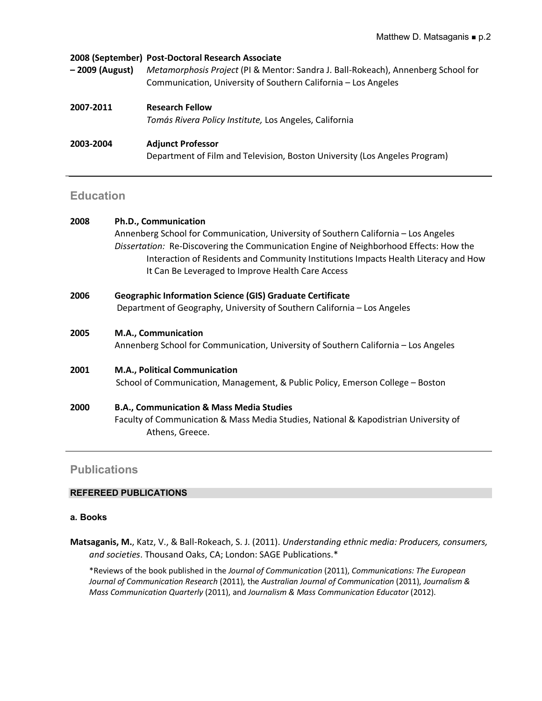| – 2009 (August) | 2008 (September) Post-Doctoral Research Associate<br>Metamorphosis Project (PI & Mentor: Sandra J. Ball-Rokeach), Annenberg School for<br>Communication, University of Southern California - Los Angeles |
|-----------------|----------------------------------------------------------------------------------------------------------------------------------------------------------------------------------------------------------|
| 2007-2011       | <b>Research Fellow</b><br>Tomás Rivera Policy Institute, Los Angeles, California                                                                                                                         |
| 2003-2004       | <b>Adjunct Professor</b><br>Department of Film and Television, Boston University (Los Angeles Program)                                                                                                   |

# **Education**

| 2008 | Ph.D., Communication                                                                                    |
|------|---------------------------------------------------------------------------------------------------------|
|      | Annenberg School for Communication, University of Southern California - Los Angeles                     |
|      | Dissertation: Re-Discovering the Communication Engine of Neighborhood Effects: How the                  |
|      | Interaction of Residents and Community Institutions Impacts Health Literacy and How                     |
|      | It Can Be Leveraged to Improve Health Care Access                                                       |
| 2006 | <b>Geographic Information Science (GIS) Graduate Certificate</b>                                        |
|      | Department of Geography, University of Southern California - Los Angeles                                |
| 2005 | M.A., Communication                                                                                     |
|      | Annenberg School for Communication, University of Southern California - Los Angeles                     |
| 2001 | M.A., Political Communication                                                                           |
|      | School of Communication, Management, & Public Policy, Emerson College - Boston                          |
| 2000 | <b>B.A., Communication &amp; Mass Media Studies</b>                                                     |
|      | Faculty of Communication & Mass Media Studies, National & Kapodistrian University of<br>Athens, Greece. |
|      |                                                                                                         |

# **Publications**

# **REFEREED PUBLICATIONS**

# **a. Books**

**Matsaganis, M.**, Katz, V., & Ball-Rokeach, S. J. (2011). *Understanding ethnic media: Producers, consumers, and societies*. Thousand Oaks, CA; London: SAGE Publications.\*

\*Reviews of the book published in the *Journal of Communication* (2011), *Communications: The European Journal of Communication Research* (2011), the *Australian Journal of Communication* (2011), *Journalism & Mass Communication Quarterly* (2011), and *Journalism & Mass Communication Educator* (2012).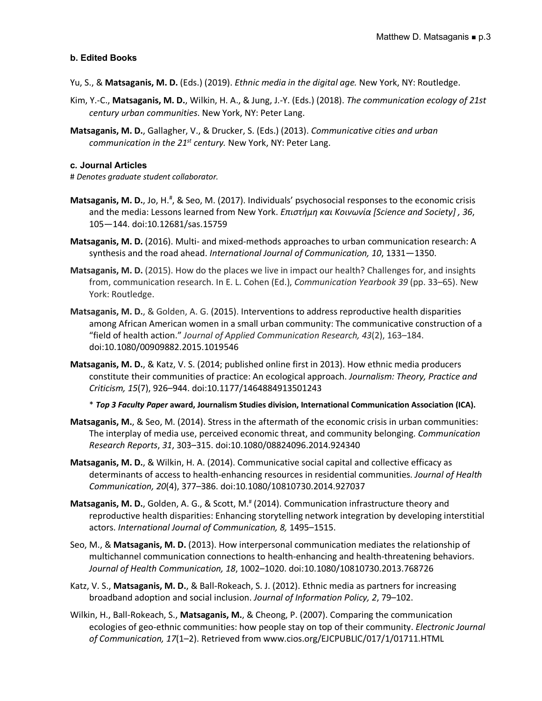# **b. Edited Books**

- Yu, S., & **Matsaganis, M. D.** (Eds.) (2019). *Ethnic media in the digital age.* New York, NY: Routledge.
- Kim, Y.-C., **Matsaganis, M. D.**, Wilkin, H. A., & Jung, J.-Y. (Eds.) (2018). *The communication ecology of 21st century urban communities*. New York, NY: Peter Lang.
- **Matsaganis, M. D.**, Gallagher, V., & Drucker, S. (Eds.) (2013). *Communicative cities and urban communication in the 21st century.* New York, NY: Peter Lang.

#### **c. Journal Articles**

# *Denotes graduate student collaborator.*

- Matsaganis, M. D., Jo, H.<sup>#</sup>, & Seo, M. (2017). Individuals' psychosocial responses to the economic crisis and the media: Lessons learned from New York. *Επιστήμη και Κοινωνία [Science and Society] , 36*, 105—144. doi:10.12681/sas.15759
- **Matsaganis, M. D.** (2016). Multi- and mixed-methods approaches to urban communication research: A synthesis and the road ahead. *International Journal of Communication, 10*, 1331—1350.
- **Matsaganis, M. D.** (2015). How do the places we live in impact our health? Challenges for, and insights from, communication research. In E. L. Cohen (Ed.), *Communication Yearbook 39* (pp. 33–65). New York: Routledge.
- **Matsaganis, M. D.**, & Golden, A. G. (2015). Interventions to address reproductive health disparities among African American women in a small urban community: The communicative construction of a "field of health action." *Journal of Applied Communication Research, 43*(2), 163–184. doi:10.1080/00909882.2015.1019546
- **Matsaganis, M. D.**, & Katz, V. S. (2014; published online first in 2013). How ethnic media producers constitute their communities of practice: An ecological approach. *Journalism: Theory, Practice and Criticism, 15*(7), 926–944. doi:10.1177/1464884913501243

\* *Top 3 Faculty Paper* **award, Journalism Studies division, International Communication Association (ICA).**

- **Matsaganis, M.**, & Seo, M. (2014). Stress in the aftermath of the economic crisis in urban communities: The interplay of media use, perceived economic threat, and community belonging. *Communication Research Reports*, *31*, 303–315. doi:10.1080/08824096.2014.924340
- **Matsaganis, M. D.**, & Wilkin, H. A. (2014). Communicative social capital and collective efficacy as determinants of access to health-enhancing resources in residential communities. *Journal of Health Communication, 20*(4), 377–386. doi:10.1080/10810730.2014.927037
- **Matsaganis, M. D.**, Golden, A. G., & Scott, M.<sup>#</sup> (2014). Communication infrastructure theory and reproductive health disparities: Enhancing storytelling network integration by developing interstitial actors. *International Journal of Communication, 8,* 1495–1515.
- Seo, M., & **Matsaganis, M. D.** (2013). How interpersonal communication mediates the relationship of multichannel communication connections to health-enhancing and health-threatening behaviors. *Journal of Health Communication, 18*, 1002–1020. doi:10.1080/10810730.2013.768726
- Katz, V. S., **Matsaganis, M. D.**, & Ball-Rokeach, S. J. (2012). Ethnic media as partners for increasing broadband adoption and social inclusion. *Journal of Information Policy, 2*, 79–102.
- Wilkin, H., Ball-Rokeach, S., **Matsaganis, M.**, & Cheong, P. (2007). Comparing the communication ecologies of geo-ethnic communities: how people stay on top of their community. *Electronic Journal of Communication, 17*(1–2). Retrieved from www.cios.org/EJCPUBLIC/017/1/01711.HTML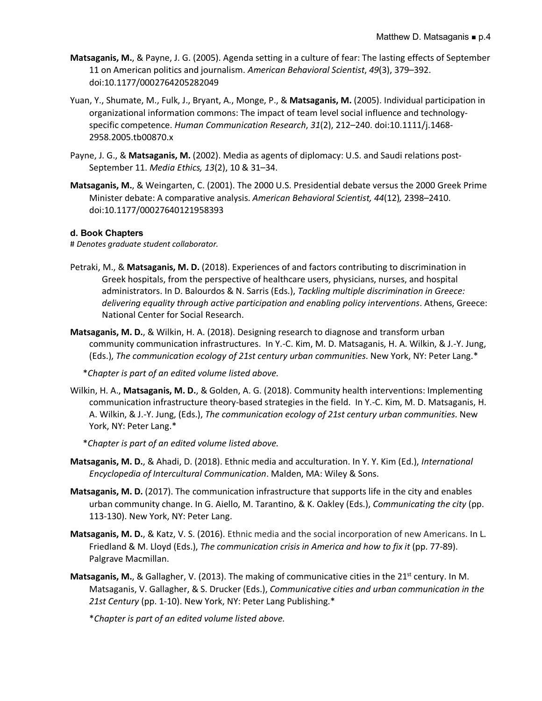- **Matsaganis, M.**, & Payne, J. G. (2005). Agenda setting in a culture of fear: The lasting effects of September 11 on American politics and journalism. *American Behavioral Scientist*, *49*(3), 379–392. doi:10.1177/0002764205282049
- Yuan, Y., Shumate, M., Fulk, J., Bryant, A., Monge, P., & **Matsaganis, M.** (2005). Individual participation in organizational information commons: The impact of team level social influence and technologyspecific competence. *Human Communication Research*, *31*(2), 212–240. doi:10.1111/j.1468- 2958.2005.tb00870.x
- Payne, J. G., & **Matsaganis, M.** (2002). Media as agents of diplomacy: U.S. and Saudi relations post-September 11. *Media Ethics, 13*(2), 10 & 31–34.
- **Matsaganis, M.**, & Weingarten, C. (2001). The 2000 U.S. Presidential debate versus the 2000 Greek Prime Minister debate: A comparative analysis. *American Behavioral Scientist, 44*(12)*,* 2398–2410. doi:10.1177/00027640121958393

# **d. Book Chapters**

# *Denotes graduate student collaborator.*

- Petraki, M., & **Matsaganis, M. D.** (2018). Experiences of and factors contributing to discrimination in Greek hospitals, from the perspective of healthcare users, physicians, nurses, and hospital administrators. In D. Balourdos & N. Sarris (Eds.), *Tackling multiple discrimination in Greece: delivering equality through active participation and enabling policy interventions*. Athens, Greece: National Center for Social Research.
- **Matsaganis, M. D.**, & Wilkin, H. A. (2018). Designing research to diagnose and transform urban community communication infrastructures. In Y.-C. Kim, M. D. Matsaganis, H. A. Wilkin, & J.-Y. Jung, (Eds.), *The communication ecology of 21st century urban communities*. New York, NY: Peter Lang.\*

\**Chapter is part of an edited volume listed above.*

Wilkin, H. A., **Matsaganis, M. D.**, & Golden, A. G. (2018). Community health interventions: Implementing communication infrastructure theory-based strategies in the field. In Y.-C. Kim, M. D. Matsaganis, H. A. Wilkin, & J.-Y. Jung, (Eds.), *The communication ecology of 21st century urban communities*. New York, NY: Peter Lang.\*

\**Chapter is part of an edited volume listed above.*

- **Matsaganis, M. D.**, & Ahadi, D. (2018). Ethnic media and acculturation. In Y. Y. Kim (Ed.), *International Encyclopedia of Intercultural Communication*. Malden, MA: Wiley & Sons.
- **Matsaganis, M. D.** (2017). The communication infrastructure that supports life in the city and enables urban community change. In G. Aiello, M. Tarantino, & K. Oakley (Eds.), *Communicating the city* (pp. 113-130). New York, NY: Peter Lang.
- **Matsaganis, M. D.**, & Katz, V. S. (2016). Ethnic media and the social incorporation of new Americans. In L. Friedland & M. Lloyd (Eds.), *The communication crisis in America and how to fix it* (pp. 77-89). Palgrave Macmillan.
- **Matsaganis, M.**, & Gallagher, V. (2013). The making of communicative cities in the 21<sup>st</sup> century. In M. Matsaganis, V. Gallagher, & S. Drucker (Eds.), *Communicative cities and urban communication in the 21st Century* (pp. 1-10). New York, NY: Peter Lang Publishing.\*

\**Chapter is part of an edited volume listed above.*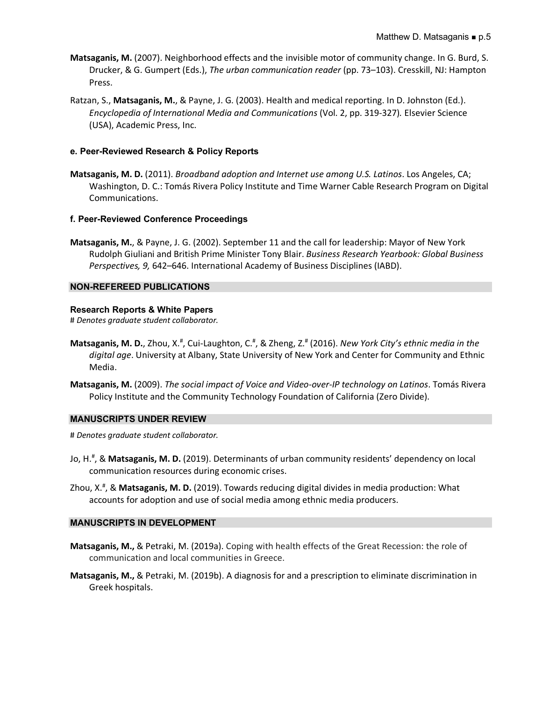- **Matsaganis, M.** (2007). Neighborhood effects and the invisible motor of community change. In G. Burd, S. Drucker, & G. Gumpert (Eds.), *The urban communication reader* (pp. 73–103). Cresskill, NJ: Hampton Press.
- Ratzan, S., **Matsaganis, M.**, & Payne, J. G. (2003). Health and medical reporting. In D. Johnston (Ed.). *Encyclopedia of International Media and Communications* (Vol. 2, pp. 319-327)*.* Elsevier Science (USA), Academic Press, Inc.

# **e. Peer-Reviewed Research & Policy Reports**

**Matsaganis, M. D.** (2011). *Broadband adoption and Internet use among U.S. Latinos*. Los Angeles, CA; Washington, D. C.: Tomás Rivera Policy Institute and Time Warner Cable Research Program on Digital Communications.

# **f. Peer-Reviewed Conference Proceedings**

**Matsaganis, M.**, & Payne, J. G. (2002). September 11 and the call for leadership: Mayor of New York Rudolph Giuliani and British Prime Minister Tony Blair. *Business Research Yearbook: Global Business Perspectives, 9,* 642–646. International Academy of Business Disciplines (IABD).

# **NON-REFEREED PUBLICATIONS**

#### **Research Reports & White Papers**

# *Denotes graduate student collaborator.*

- Matsaganis, M. D., Zhou, X.<sup>#</sup>, Cui-Laughton, C.<sup>#</sup>, & Zheng, Z.<sup>#</sup> (2016). New York City's ethnic media in the *digital age*. University at Albany, State University of New York and Center for Community and Ethnic Media.
- **Matsaganis, M.** (2009). *The social impact of Voice and Video-over-IP technology on Latinos*. Tomás Rivera Policy Institute and the Community Technology Foundation of California (Zero Divide).

#### **MANUSCRIPTS UNDER REVIEW**

# *Denotes graduate student collaborator.*

- Jo, H.<sup>#</sup>, & Matsaganis, M. D. (2019). Determinants of urban community residents' dependency on local communication resources during economic crises.
- Zhou, X.# , & **Matsaganis, M. D.** (2019). Towards reducing digital divides in media production: What accounts for adoption and use of social media among ethnic media producers.

#### **MANUSCRIPTS IN DEVELOPMENT**

- **Matsaganis, M.,** & Petraki, M. (2019a). Coping with health effects of the Great Recession: the role of communication and local communities in Greece.
- **Matsaganis, M.,** & Petraki, M. (2019b). A diagnosis for and a prescription to eliminate discrimination in Greek hospitals.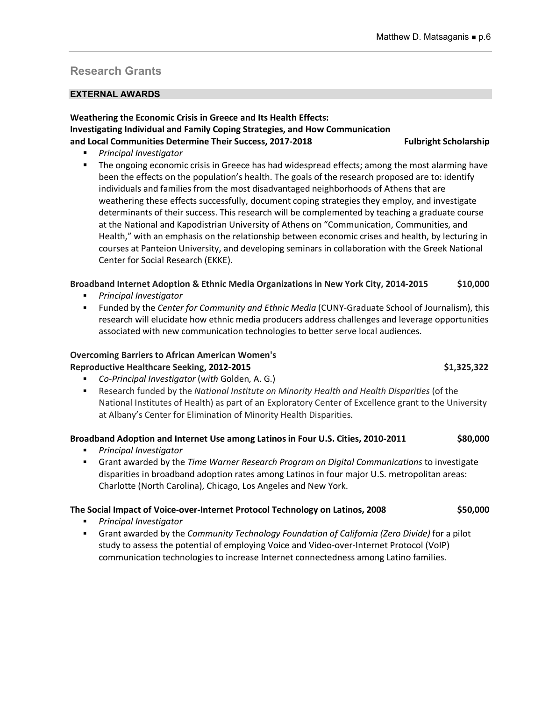# **Research Grants**

# **EXTERNAL AWARDS**

# **Weathering the Economic Crisis in Greece and Its Health Effects: Investigating Individual and Family Coping Strategies, and How Communication and Local Communities Determine Their Success, 2017-2018 Fulbright Scholarship**

- *Principal Investigator*
- The ongoing economic crisis in Greece has had widespread effects; among the most alarming have been the effects on the population's health. The goals of the research proposed are to: identify individuals and families from the most disadvantaged neighborhoods of Athens that are weathering these effects successfully, document coping strategies they employ, and investigate determinants of their success. This research will be complemented by teaching a graduate course at the National and Kapodistrian University of Athens on "Communication, Communities, and Health," with an emphasis on the relationship between economic crises and health, by lecturing in courses at Panteion University, and developing seminars in collaboration with the Greek National Center for Social Research (EKKE).

# **Broadband Internet Adoption & Ethnic Media Organizations in New York City, 2014-2015 \$10,000**

- § *Principal Investigator*
- § Funded by the *Center for Community and Ethnic Media* (CUNY-Graduate School of Journalism), this research will elucidate how ethnic media producers address challenges and leverage opportunities associated with new communication technologies to better serve local audiences.

# **Overcoming Barriers to African American Women's**  Reproductive Healthcare Seeking, 2012-2015 **\$1,325,322** \$1,325,322

- § *Co-Principal Investigator* (*with* Golden, A. G.)
- § Research funded by the *National Institute on Minority Health and Health Disparities* (of the National Institutes of Health) as part of an Exploratory Center of Excellence grant to the University at Albany's Center for Elimination of Minority Health Disparities.

# **Broadband Adoption and Internet Use among Latinos in Four U.S. Cities, 2010-2011 \$80,000**

- § *Principal Investigator*
- § Grant awarded by the *Time Warner Research Program on Digital Communications* to investigate disparities in broadband adoption rates among Latinos in four major U.S. metropolitan areas: Charlotte (North Carolina), Chicago, Los Angeles and New York.

# **The Social Impact of Voice-over-Internet Protocol Technology on Latinos, 2008 \$50,000**

- § *Principal Investigator*
- § Grant awarded by the *Community Technology Foundation of California (Zero Divide)* for a pilot study to assess the potential of employing Voice and Video-over-Internet Protocol (VoIP) communication technologies to increase Internet connectedness among Latino families.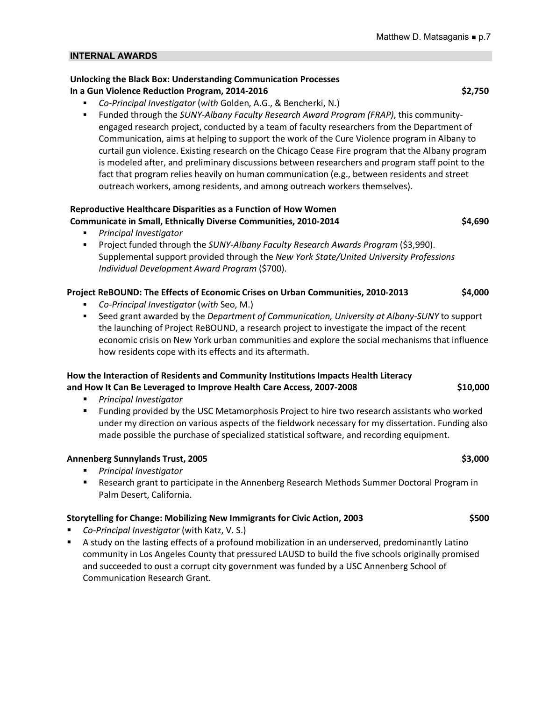#### **INTERNAL AWARDS**

# **Unlocking the Black Box: Understanding Communication Processes In a Gun Violence Reduction Program, 2014-2016 \$2,750 \$2,750**

- § *Co-Principal Investigator* (*with* Golden, A.G., & Bencherki, N.)
- § Funded through the *SUNY-Albany Faculty Research Award Program (FRAP)*, this communityengaged research project, conducted by a team of faculty researchers from the Department of Communication, aims at helping to support the work of the Cure Violence program in Albany to curtail gun violence. Existing research on the Chicago Cease Fire program that the Albany program is modeled after, and preliminary discussions between researchers and program staff point to the fact that program relies heavily on human communication (e.g., between residents and street outreach workers, among residents, and among outreach workers themselves).

#### **Reproductive Healthcare Disparities as a Function of How Women Communicate in Small, Ethnically Diverse Communities, 2010-2014 \$4,690**

- § *Principal Investigator*
- § Project funded through the *SUNY-Albany Faculty Research Awards Program* (\$3,990). Supplemental support provided through the *New York State/United University Professions Individual Development Award Program* (\$700).

# **Project ReBOUND: The Effects of Economic Crises on Urban Communities, 2010-2013 \$4,000**

- § *Co-Principal Investigator* (*with* Seo, M.)
- § Seed grant awarded by the *Department of Communication, University at Albany-SUNY* to support the launching of Project ReBOUND, a research project to investigate the impact of the recent economic crisis on New York urban communities and explore the social mechanisms that influence how residents cope with its effects and its aftermath.

# **How the Interaction of Residents and Community Institutions Impacts Health Literacy and How It Can Be Leveraged to Improve Health Care Access, 2007-2008 \$10,000**

- § *Principal Investigator*
- § Funding provided by the USC Metamorphosis Project to hire two research assistants who worked under my direction on various aspects of the fieldwork necessary for my dissertation. Funding also made possible the purchase of specialized statistical software, and recording equipment.

# **Annenberg Sunnylands Trust, 2005 \$3,000**

- § *Principal Investigator*
- Research grant to participate in the Annenberg Research Methods Summer Doctoral Program in Palm Desert, California.

# **Storytelling for Change: Mobilizing New Immigrants for Civic Action, 2003 \$500**

- Co-Principal Investigator (with Katz, V. S.)
- A study on the lasting effects of a profound mobilization in an underserved, predominantly Latino community in Los Angeles County that pressured LAUSD to build the five schools originally promised and succeeded to oust a corrupt city government was funded by a USC Annenberg School of Communication Research Grant.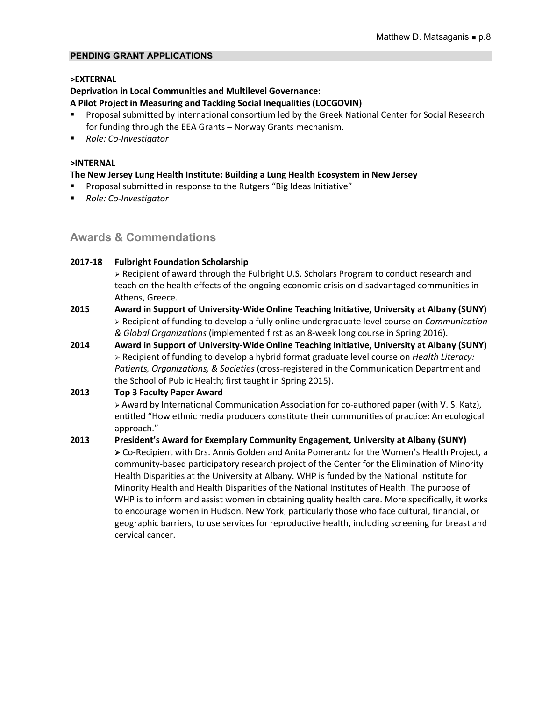# **PENDING GRANT APPLICATIONS**

#### **>EXTERNAL**

# **Deprivation in Local Communities and Multilevel Governance:**

#### **A Pilot Project in Measuring and Tackling Social Inequalities (LOCGOVIN)**

- § Proposal submitted by international consortium led by the Greek National Center for Social Research for funding through the EEA Grants – Norway Grants mechanism.
- *Role: Co-Investigator*

#### **>INTERNAL**

#### **The New Jersey Lung Health Institute: Building a Lung Health Ecosystem in New Jersey**

- § Proposal submitted in response to the Rutgers "Big Ideas Initiative"
- § *Role: Co-Investigator*

# **Awards & Commendations**

#### **2017-18 Fulbright Foundation Scholarship**

 $\triangleright$  Recipient of award through the Fulbright U.S. Scholars Program to conduct research and teach on the health effects of the ongoing economic crisis on disadvantaged communities in Athens, Greece.

- **2015 Award in Support of University-Wide Online Teaching Initiative, University at Albany (SUNY)** Ø Recipient of funding to develop a fully online undergraduate level course on *Communication & Global Organizations* (implemented first as an 8-week long course in Spring 2016).
- **2014 Award in Support of University-Wide Online Teaching Initiative, University at Albany (SUNY)** Ø Recipient of funding to develop a hybrid format graduate level course on *Health Literacy: Patients, Organizations, & Societies* (cross-registered in the Communication Department and the School of Public Health; first taught in Spring 2015).

# **2013 Top 3 Faculty Paper Award**

Ø Award by International Communication Association for co-authored paper (with V. S. Katz), entitled "How ethnic media producers constitute their communities of practice: An ecological approach."

**2013 President's Award for Exemplary Community Engagement, University at Albany (SUNY)** Ø Co-Recipient with Drs. Annis Golden and Anita Pomerantz for the Women's Health Project, a community-based participatory research project of the Center for the Elimination of Minority Health Disparities at the University at Albany. WHP is funded by the National Institute for Minority Health and Health Disparities of the National Institutes of Health. The purpose of WHP is to inform and assist women in obtaining quality health care. More specifically, it works to encourage women in Hudson, New York, particularly those who face cultural, financial, or geographic barriers, to use services for reproductive health, including screening for breast and cervical cancer.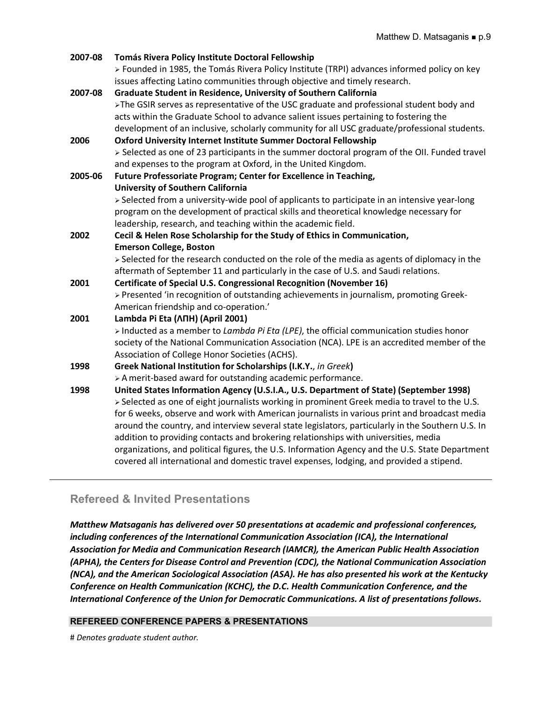| 2007-08 | Tomás Rivera Policy Institute Doctoral Fellowship                                                                                                                                             |
|---------|-----------------------------------------------------------------------------------------------------------------------------------------------------------------------------------------------|
|         | > Founded in 1985, the Tomás Rivera Policy Institute (TRPI) advances informed policy on key                                                                                                   |
|         | issues affecting Latino communities through objective and timely research.                                                                                                                    |
| 2007-08 | Graduate Student in Residence, University of Southern California                                                                                                                              |
|         | >The GSIR serves as representative of the USC graduate and professional student body and                                                                                                      |
|         | acts within the Graduate School to advance salient issues pertaining to fostering the                                                                                                         |
|         | development of an inclusive, scholarly community for all USC graduate/professional students.                                                                                                  |
| 2006    | <b>Oxford University Internet Institute Summer Doctoral Fellowship</b>                                                                                                                        |
|         | > Selected as one of 23 participants in the summer doctoral program of the OII. Funded travel                                                                                                 |
|         | and expenses to the program at Oxford, in the United Kingdom.                                                                                                                                 |
| 2005-06 | Future Professoriate Program; Center for Excellence in Teaching,                                                                                                                              |
|         | <b>University of Southern California</b>                                                                                                                                                      |
|         | > Selected from a university-wide pool of applicants to participate in an intensive year-long                                                                                                 |
|         | program on the development of practical skills and theoretical knowledge necessary for                                                                                                        |
|         | leadership, research, and teaching within the academic field.                                                                                                                                 |
| 2002    | Cecil & Helen Rose Scholarship for the Study of Ethics in Communication,                                                                                                                      |
|         | <b>Emerson College, Boston</b>                                                                                                                                                                |
|         | > Selected for the research conducted on the role of the media as agents of diplomacy in the                                                                                                  |
|         | aftermath of September 11 and particularly in the case of U.S. and Saudi relations.                                                                                                           |
| 2001    | Certificate of Special U.S. Congressional Recognition (November 16)                                                                                                                           |
|         | > Presented 'in recognition of outstanding achievements in journalism, promoting Greek-                                                                                                       |
|         | American friendship and co-operation.'                                                                                                                                                        |
| 2001    | Lambda Pi Eta (ANH) (April 2001)                                                                                                                                                              |
|         | > Inducted as a member to Lambda Pi Eta (LPE), the official communication studies honor                                                                                                       |
|         | society of the National Communication Association (NCA). LPE is an accredited member of the                                                                                                   |
|         | Association of College Honor Societies (ACHS).                                                                                                                                                |
| 1998    | Greek National Institution for Scholarships (I.K.Y., in Greek)                                                                                                                                |
|         | > A merit-based award for outstanding academic performance.                                                                                                                                   |
| 1998    | United States Information Agency (U.S.I.A., U.S. Department of State) (September 1998)                                                                                                        |
|         | > Selected as one of eight journalists working in prominent Greek media to travel to the U.S.<br>for 6 weeks, observe and work with American journalists in various print and broadcast media |
|         | around the country, and interview several state legislators, particularly in the Southern U.S. In                                                                                             |
|         | addition to providing contacts and brokering relationships with universities, media                                                                                                           |
|         | organizations, and political figures, the U.S. Information Agency and the U.S. State Department                                                                                               |
|         | covered all international and domestic travel expenses, lodging, and provided a stipend.                                                                                                      |
|         |                                                                                                                                                                                               |

# **Refereed & Invited Presentations**

*Matthew Matsaganis has delivered over 50 presentations at academic and professional conferences, including conferences of the International Communication Association (ICA), the International Association for Media and Communication Research (IAMCR), the American Public Health Association (APHA), the Centers for Disease Control and Prevention (CDC), the National Communication Association (NCA), and the American Sociological Association (ASA). He has also presented his work at the Kentucky Conference on Health Communication (KCHC), the D.C. Health Communication Conference, and the International Conference of the Union for Democratic Communications. A list of presentations follows.*

# **REFEREED CONFERENCE PAPERS & PRESENTATIONS**

# *Denotes graduate student author.*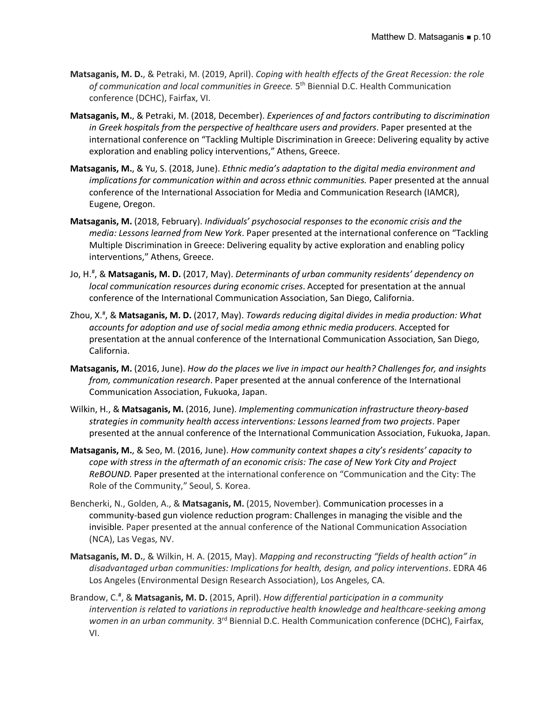- **Matsaganis, M. D.**, & Petraki, M. (2019, April). *Coping with health effects of the Great Recession: the role of communication and local communities in Greece.* 5th Biennial D.C. Health Communication conference (DCHC), Fairfax, VI.
- **Matsaganis, M.**, & Petraki, M. (2018, December). *Experiences of and factors contributing to discrimination in Greek hospitals from the perspective of healthcare users and providers*. Paper presented at the international conference on "Tackling Multiple Discrimination in Greece: Delivering equality by active exploration and enabling policy interventions," Athens, Greece.
- **Matsaganis, M.**, & Yu, S. (2018, June). *Ethnic media's adaptation to the digital media environment and implications for communication within and across ethnic communities.* Paper presented at the annual conference of the International Association for Media and Communication Research (IAMCR), Eugene, Oregon.
- **Matsaganis, M.** (2018, February). *Individuals' psychosocial responses to the economic crisis and the media: Lessons learned from New York*. Paper presented at the international conference on "Tackling Multiple Discrimination in Greece: Delivering equality by active exploration and enabling policy interventions," Athens, Greece.
- Jo, H.# , & **Matsaganis, M. D.** (2017, May). *Determinants of urban community residents' dependency on local communication resources during economic crises*. Accepted for presentation at the annual conference of the International Communication Association, San Diego, California.
- Zhou, X.# , & **Matsaganis, M. D.** (2017, May). *Towards reducing digital divides in media production: What accounts for adoption and use of social media among ethnic media producers*. Accepted for presentation at the annual conference of the International Communication Association, San Diego, California.
- **Matsaganis, M.** (2016, June). *How do the places we live in impact our health? Challenges for, and insights from, communication research*. Paper presented at the annual conference of the International Communication Association, Fukuoka, Japan.
- Wilkin, H., & **Matsaganis, M.** (2016, June). *Implementing communication infrastructure theory-based strategies in community health access interventions: Lessons learned from two projects*. Paper presented at the annual conference of the International Communication Association, Fukuoka, Japan.
- **Matsaganis, M.**, & Seo, M. (2016, June). *How community context shapes a city's residents' capacity to cope with stress in the aftermath of an economic crisis: The case of New York City and Project ReBOUND*. Paper presented at the international conference on "Communication and the City: The Role of the Community," Seoul, S. Korea.
- Bencherki, N., Golden, A., & **Matsaganis, M.** (2015, November). Communication processes in a community-based gun violence reduction program: Challenges in managing the visible and the invisible. Paper presented at the annual conference of the National Communication Association (NCA), Las Vegas, NV.
- **Matsaganis, M. D.**, & Wilkin, H. A. (2015, May). *Mapping and reconstructing "fields of health action" in disadvantaged urban communities: Implications for health, design, and policy interventions*. EDRA 46 Los Angeles (Environmental Design Research Association), Los Angeles, CA.
- Brandow, C.# , & **Matsaganis, M. D.** (2015, April). *How differential participation in a community intervention is related to variations in reproductive health knowledge and healthcare-seeking among women in an urban community.* 3<sup>rd</sup> Biennial D.C. Health Communication conference (DCHC), Fairfax, VI.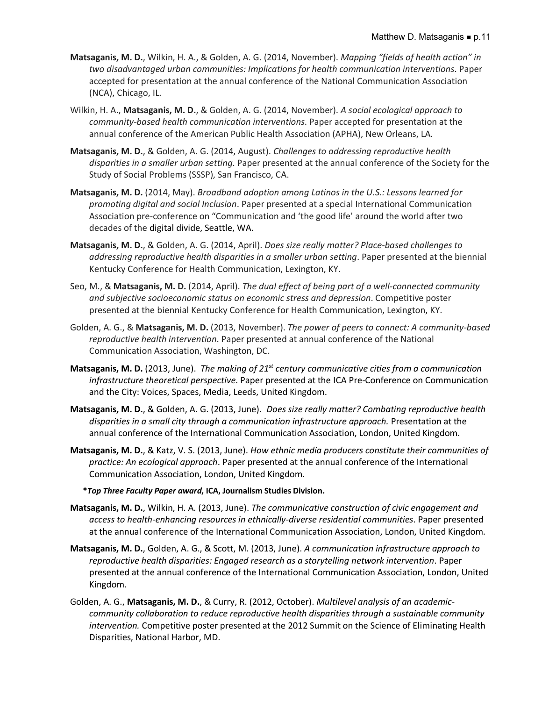- **Matsaganis, M. D.**, Wilkin, H. A., & Golden, A. G. (2014, November). *Mapping "fields of health action" in two disadvantaged urban communities: Implications for health communication interventions*. Paper accepted for presentation at the annual conference of the National Communication Association (NCA), Chicago, IL.
- Wilkin, H. A., **Matsaganis, M. D.**, & Golden, A. G. (2014, November). *A social ecological approach to community-based health communication interventions*. Paper accepted for presentation at the annual conference of the American Public Health Association (APHA), New Orleans, LA.
- **Matsaganis, M. D.**, & Golden, A. G. (2014, August). *Challenges to addressing reproductive health disparities in a smaller urban setting*. Paper presented at the annual conference of the Society for the Study of Social Problems (SSSP), San Francisco, CA.
- **Matsaganis, M. D.** (2014, May). *Broadband adoption among Latinos in the U.S.: Lessons learned for promoting digital and social Inclusion*. Paper presented at a special International Communication Association pre-conference on "Communication and 'the good life' around the world after two decades of the digital divide, Seattle, WA.
- **Matsaganis, M. D.**, & Golden, A. G. (2014, April). *Does size really matter? Place-based challenges to addressing reproductive health disparities in a smaller urban setting*. Paper presented at the biennial Kentucky Conference for Health Communication, Lexington, KY.
- Seo, M., & **Matsaganis, M. D.** (2014, April). *The dual effect of being part of a well-connected community and subjective socioeconomic status on economic stress and depression*. Competitive poster presented at the biennial Kentucky Conference for Health Communication, Lexington, KY.
- Golden, A. G., & **Matsaganis, M. D.** (2013, November). *The power of peers to connect: A community-based reproductive health intervention*. Paper presented at annual conference of the National Communication Association, Washington, DC.
- **Matsaganis, M. D.** (2013, June). *The making of 21st century communicative cities from a communication infrastructure theoretical perspective*. Paper presented at the ICA Pre-Conference on Communication and the City: Voices, Spaces, Media, Leeds, United Kingdom.
- **Matsaganis, M. D.**, & Golden, A. G. (2013, June). *Does size really matter? Combating reproductive health disparities in a small city through a communication infrastructure approach.* Presentation at the annual conference of the International Communication Association, London, United Kingdom.
- **Matsaganis, M. D.**, & Katz, V. S. (2013, June). *How ethnic media producers constitute their communities of practice: An ecological approach*. Paper presented at the annual conference of the International Communication Association, London, United Kingdom.

#### **\****Top Three Faculty Paper award***, ICA, Journalism Studies Division.**

- **Matsaganis, M. D.**, Wilkin, H. A. (2013, June). *The communicative construction of civic engagement and access to health-enhancing resources in ethnically-diverse residential communities*. Paper presented at the annual conference of the International Communication Association, London, United Kingdom.
- **Matsaganis, M. D.**, Golden, A. G., & Scott, M. (2013, June). *A communication infrastructure approach to reproductive health disparities: Engaged research as a storytelling network intervention*. Paper presented at the annual conference of the International Communication Association, London, United Kingdom.
- Golden, A. G., **Matsaganis, M. D.**, & Curry, R. (2012, October). *Multilevel analysis of an academiccommunity collaboration to reduce reproductive health disparities through a sustainable community intervention.* Competitive poster presented at the 2012 Summit on the Science of Eliminating Health Disparities, National Harbor, MD.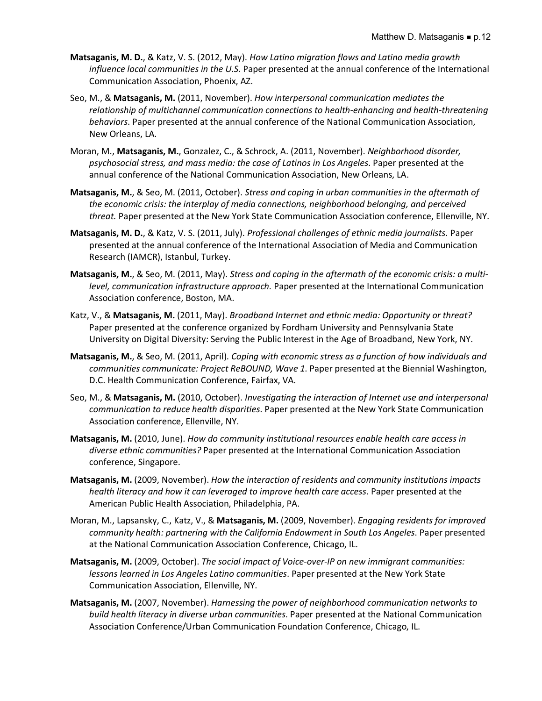- **Matsaganis, M. D.**, & Katz, V. S. (2012, May). *How Latino migration flows and Latino media growth influence local communities in the U.S.* Paper presented at the annual conference of the International Communication Association, Phoenix, AZ.
- Seo, M., & **Matsaganis, M.** (2011, November). *How interpersonal communication mediates the relationship of multichannel communication connections to health-enhancing and health-threatening behaviors*. Paper presented at the annual conference of the National Communication Association, New Orleans, LA.
- Moran, M., **Matsaganis, M.**, Gonzalez, C., & Schrock, A. (2011, November). *Neighborhood disorder, psychosocial stress, and mass media: the case of Latinos in Los Angeles*. Paper presented at the annual conference of the National Communication Association, New Orleans, LA.
- **Matsaganis, M.**, & Seo, M. (2011, October). *Stress and coping in urban communities in the aftermath of the economic crisis: the interplay of media connections, neighborhood belonging, and perceived threat.* Paper presented at the New York State Communication Association conference, Ellenville, NY.
- **Matsaganis, M. D.**, & Katz, V. S. (2011, July). *Professional challenges of ethnic media journalists.* Paper presented at the annual conference of the International Association of Media and Communication Research (IAMCR), Istanbul, Turkey.
- **Matsaganis, M.**, & Seo, M. (2011, May). *Stress and coping in the aftermath of the economic crisis: a multilevel, communication infrastructure approach.* Paper presented at the International Communication Association conference, Boston, MA.
- Katz, V., & **Matsaganis, M.** (2011, May). *Broadband Internet and ethnic media: Opportunity or threat?* Paper presented at the conference organized by Fordham University and Pennsylvania State University on Digital Diversity: Serving the Public Interest in the Age of Broadband, New York, NY.
- **Matsaganis, M.**, & Seo, M. (2011, April). *Coping with economic stress as a function of how individuals and communities communicate: Project ReBOUND, Wave 1*. Paper presented at the Biennial Washington, D.C. Health Communication Conference, Fairfax, VA.
- Seo, M., & **Matsaganis, M.** (2010, October). *Investigating the interaction of Internet use and interpersonal communication to reduce health disparities*. Paper presented at the New York State Communication Association conference, Ellenville, NY.
- **Matsaganis, M.** (2010, June). *How do community institutional resources enable health care access in diverse ethnic communities?* Paper presented at the International Communication Association conference, Singapore.
- **Matsaganis, M.** (2009, November). *How the interaction of residents and community institutions impacts health literacy and how it can leveraged to improve health care access*. Paper presented at the American Public Health Association, Philadelphia, PA.
- Moran, M., Lapsansky, C., Katz, V., & **Matsaganis, M.** (2009, November). *Engaging residents for improved community health: partnering with the California Endowment in South Los Angeles*. Paper presented at the National Communication Association Conference, Chicago, IL.
- **Matsaganis, M.** (2009, October). *The social impact of Voice-over-IP on new immigrant communities: lessons learned in Los Angeles Latino communities*. Paper presented at the New York State Communication Association, Ellenville, NY.
- **Matsaganis, M.** (2007, November). *Harnessing the power of neighborhood communication networks to build health literacy in diverse urban communities*. Paper presented at the National Communication Association Conference/Urban Communication Foundation Conference, Chicago, IL.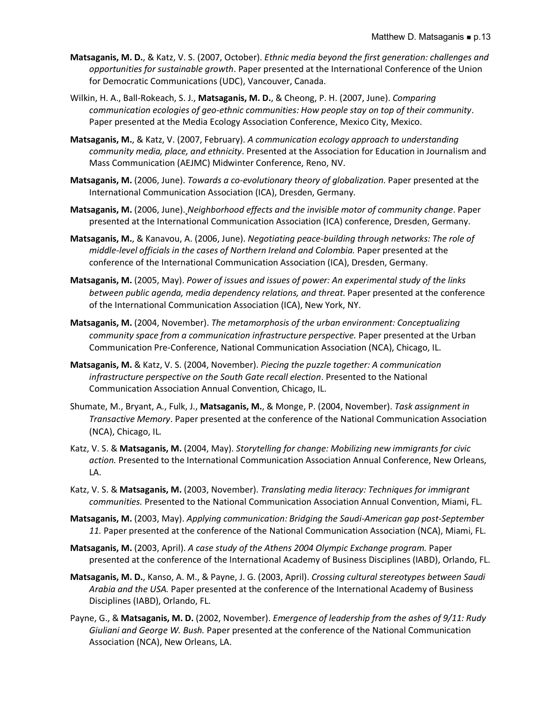- **Matsaganis, M. D.**, & Katz, V. S. (2007, October). *Ethnic media beyond the first generation: challenges and opportunities for sustainable growth*. Paper presented at the International Conference of the Union for Democratic Communications (UDC), Vancouver, Canada.
- Wilkin, H. A., Ball-Rokeach, S. J., **Matsaganis, M. D.**, & Cheong, P. H. (2007, June). *Comparing communication ecologies of geo-ethnic communities: How people stay on top of their community*. Paper presented at the Media Ecology Association Conference, Mexico City, Mexico.
- **Matsaganis, M.**, & Katz, V. (2007, February). *A communication ecology approach to understanding community media, place, and ethnicity*. Presented at the Association for Education in Journalism and Mass Communication (AEJMC) Midwinter Conference, Reno, NV.
- **Matsaganis, M.** (2006, June). *Towards a co-evolutionary theory of globalization*. Paper presented at the International Communication Association (ICA), Dresden, Germany.
- **Matsaganis, M.** (2006, June). *Neighborhood effects and the invisible motor of community change*. Paper presented at the International Communication Association (ICA) conference, Dresden, Germany.
- **Matsaganis, M.**, & Kanavou, A. (2006, June). *Negotiating peace-building through networks: The role of middle-level officials in the cases of Northern Ireland and Colombia.* Paper presented at the conference of the International Communication Association (ICA), Dresden, Germany.
- **Matsaganis, M.** (2005, May). *Power of issues and issues of power: An experimental study of the links between public agenda, media dependency relations, and threat*. Paper presented at the conference of the International Communication Association (ICA), New York, NY.
- **Matsaganis, M.** (2004, November). *The metamorphosis of the urban environment: Conceptualizing*  community space from a communication infrastructure perspective. Paper presented at the Urban Communication Pre-Conference, National Communication Association (NCA), Chicago, IL.
- **Matsaganis, M.** & Katz, V. S. (2004, November). *Piecing the puzzle together: A communication infrastructure perspective on the South Gate recall election*. Presented to the National Communication Association Annual Convention, Chicago, IL.
- Shumate, M., Bryant, A., Fulk, J., **Matsaganis, M.**, & Monge, P. (2004, November). *Task assignment in Transactive Memory*. Paper presented at the conference of the National Communication Association (NCA), Chicago, IL.
- Katz, V. S. & **Matsaganis, M.** (2004, May). *Storytelling for change: Mobilizing new immigrants for civic action.* Presented to the International Communication Association Annual Conference, New Orleans, LA.
- Katz, V. S. & **Matsaganis, M.** (2003, November). *Translating media literacy: Techniques for immigrant communities.* Presented to the National Communication Association Annual Convention, Miami, FL.
- **Matsaganis, M.** (2003, May). *Applying communication: Bridging the Saudi-American gap post-September 11.* Paper presented at the conference of the National Communication Association (NCA), Miami, FL.
- **Matsaganis, M.** (2003, April). *A case study of the Athens 2004 Olympic Exchange program.* Paper presented at the conference of the International Academy of Business Disciplines (IABD), Orlando, FL.
- **Matsaganis, M. D.**, Kanso, A. M., & Payne, J. G. (2003, April). *Crossing cultural stereotypes between Saudi Arabia and the USA.* Paper presented at the conference of the International Academy of Business Disciplines (IABD), Orlando, FL.
- Payne, G., & **Matsaganis, M. D.** (2002, November). *Emergence of leadership from the ashes of 9/11: Rudy Giuliani and George W. Bush.* Paper presented at the conference of the National Communication Association (NCA), New Orleans, LA.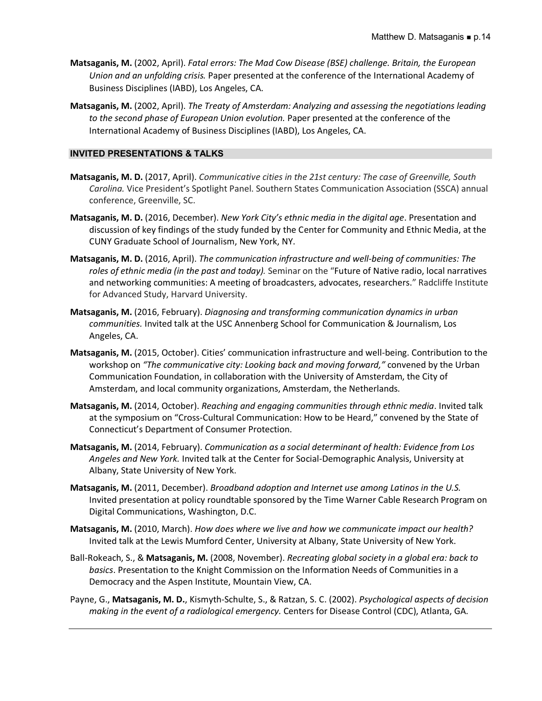- **Matsaganis, M.** (2002, April). *Fatal errors: The Mad Cow Disease (BSE) challenge. Britain, the European Union and an unfolding crisis.* Paper presented at the conference of the International Academy of Business Disciplines (IABD), Los Angeles, CA.
- **Matsaganis, M.** (2002, April). *The Treaty of Amsterdam: Analyzing and assessing the negotiations leading to the second phase of European Union evolution.* Paper presented at the conference of the International Academy of Business Disciplines (IABD), Los Angeles, CA.

# **INVITED PRESENTATIONS & TALKS**

- **Matsaganis, M. D.** (2017, April). *Communicative cities in the 21st century: The case of Greenville, South Carolina.* Vice President's Spotlight Panel. Southern States Communication Association (SSCA) annual conference, Greenville, SC.
- **Matsaganis, M. D.** (2016, December). *New York City's ethnic media in the digital age*. Presentation and discussion of key findings of the study funded by the Center for Community and Ethnic Media, at the CUNY Graduate School of Journalism, New York, NY.
- **Matsaganis, M. D.** (2016, April). *The communication infrastructure and well-being of communities: The roles of ethnic media (in the past and today).* Seminar on the "Future of Native radio, local narratives and networking communities: A meeting of broadcasters, advocates, researchers." Radcliffe Institute for Advanced Study, Harvard University.
- **Matsaganis, M.** (2016, February). *Diagnosing and transforming communication dynamics in urban communities.* Invited talk at the USC Annenberg School for Communication & Journalism, Los Angeles, CA.
- **Matsaganis, M.** (2015, October). Cities' communication infrastructure and well-being. Contribution to the workshop on *"The communicative city: Looking back and moving forward,"* convened by the Urban Communication Foundation, in collaboration with the University of Amsterdam, the City of Amsterdam, and local community organizations, Amsterdam, the Netherlands.
- **Matsaganis, M.** (2014, October). *Reaching and engaging communities through ethnic media*. Invited talk at the symposium on "Cross-Cultural Communication: How to be Heard," convened by the State of Connecticut's Department of Consumer Protection.
- **Matsaganis, M.** (2014, February). *Communication as a social determinant of health: Evidence from Los Angeles and New York.* Invited talk at the Center for Social-Demographic Analysis, University at Albany, State University of New York.
- **Matsaganis, M.** (2011, December). *Broadband adoption and Internet use among Latinos in the U.S.* Invited presentation at policy roundtable sponsored by the Time Warner Cable Research Program on Digital Communications, Washington, D.C.
- **Matsaganis, M.** (2010, March). *How does where we live and how we communicate impact our health?*  Invited talk at the Lewis Mumford Center, University at Albany, State University of New York.
- Ball-Rokeach, S., & **Matsaganis, M.** (2008, November). *Recreating global society in a global era: back to basics*. Presentation to the Knight Commission on the Information Needs of Communities in a Democracy and the Aspen Institute, Mountain View, CA.
- Payne, G., **Matsaganis, M. D.**, Kismyth-Schulte, S., & Ratzan, S. C. (2002). *Psychological aspects of decision making in the event of a radiological emergency.* Centers for Disease Control (CDC), Atlanta, GA.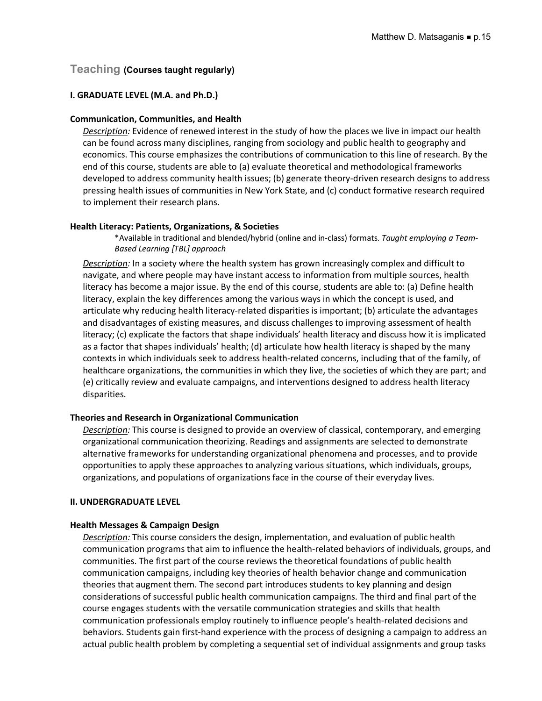# **Teaching (Courses taught regularly)**

# **I. GRADUATE LEVEL (M.A. and Ph.D.)**

# **Communication, Communities, and Health**

*Description:* Evidence of renewed interest in the study of how the places we live in impact our health can be found across many disciplines, ranging from sociology and public health to geography and economics. This course emphasizes the contributions of communication to this line of research. By the end of this course, students are able to (a) evaluate theoretical and methodological frameworks developed to address community health issues; (b) generate theory-driven research designs to address pressing health issues of communities in New York State, and (c) conduct formative research required to implement their research plans.

# **Health Literacy: Patients, Organizations, & Societies**

\*Available in traditional and blended/hybrid (online and in-class) formats. *Taught employing a Team-Based Learning [TBL] approach*

*Description:* In a society where the health system has grown increasingly complex and difficult to navigate, and where people may have instant access to information from multiple sources, health literacy has become a major issue. By the end of this course, students are able to: (a) Define health literacy, explain the key differences among the various ways in which the concept is used, and articulate why reducing health literacy-related disparities is important; (b) articulate the advantages and disadvantages of existing measures, and discuss challenges to improving assessment of health literacy; (c) explicate the factors that shape individuals' health literacy and discuss how it is implicated as a factor that shapes individuals' health; (d) articulate how health literacy is shaped by the many contexts in which individuals seek to address health-related concerns, including that of the family, of healthcare organizations, the communities in which they live, the societies of which they are part; and (e) critically review and evaluate campaigns, and interventions designed to address health literacy disparities.

# **Theories and Research in Organizational Communication**

*Description:* This course is designed to provide an overview of classical, contemporary, and emerging organizational communication theorizing. Readings and assignments are selected to demonstrate alternative frameworks for understanding organizational phenomena and processes, and to provide opportunities to apply these approaches to analyzing various situations, which individuals, groups, organizations, and populations of organizations face in the course of their everyday lives.

# **II. UNDERGRADUATE LEVEL**

# **Health Messages & Campaign Design**

*Description:* This course considers the design, implementation, and evaluation of public health communication programs that aim to influence the health-related behaviors of individuals, groups, and communities. The first part of the course reviews the theoretical foundations of public health communication campaigns, including key theories of health behavior change and communication theories that augment them. The second part introduces students to key planning and design considerations of successful public health communication campaigns. The third and final part of the course engages students with the versatile communication strategies and skills that health communication professionals employ routinely to influence people's health-related decisions and behaviors. Students gain first-hand experience with the process of designing a campaign to address an actual public health problem by completing a sequential set of individual assignments and group tasks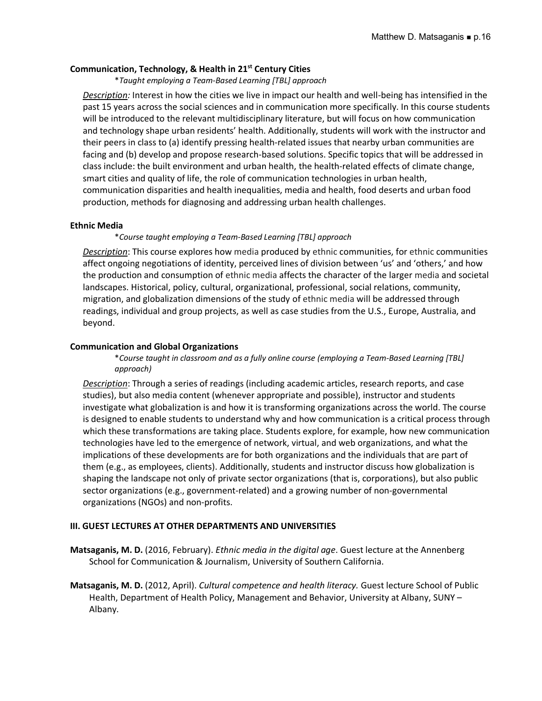### **Communication, Technology, & Health in 21st Century Cities**

\**Taught employing a Team-Based Learning [TBL] approach*

*Description:* Interest in how the cities we live in impact our health and well-being has intensified in the past 15 years across the social sciences and in communication more specifically. In this course students will be introduced to the relevant multidisciplinary literature, but will focus on how communication and technology shape urban residents' health. Additionally, students will work with the instructor and their peers in class to (a) identify pressing health-related issues that nearby urban communities are facing and (b) develop and propose research-based solutions. Specific topics that will be addressed in class include: the built environment and urban health, the health-related effects of climate change, smart cities and quality of life, the role of communication technologies in urban health, communication disparities and health inequalities, media and health, food deserts and urban food production, methods for diagnosing and addressing urban health challenges.

#### **Ethnic Media**

#### \**Course taught employing a Team-Based Learning [TBL] approach*

*Description*: This course explores how media produced by ethnic communities, for ethnic communities affect ongoing negotiations of identity, perceived lines of division between 'us' and 'others,' and how the production and consumption of ethnic media affects the character of the larger media and societal landscapes. Historical, policy, cultural, organizational, professional, social relations, community, migration, and globalization dimensions of the study of ethnic media will be addressed through readings, individual and group projects, as well as case studies from the U.S., Europe, Australia, and beyond.

### **Communication and Global Organizations**

\**Course taught in classroom and as a fully online course (employing a Team-Based Learning [TBL] approach)*

*Description*: Through a series of readings (including academic articles, research reports, and case studies), but also media content (whenever appropriate and possible), instructor and students investigate what globalization is and how it is transforming organizations across the world. The course is designed to enable students to understand why and how communication is a critical process through which these transformations are taking place. Students explore, for example, how new communication technologies have led to the emergence of network, virtual, and web organizations, and what the implications of these developments are for both organizations and the individuals that are part of them (e.g., as employees, clients). Additionally, students and instructor discuss how globalization is shaping the landscape not only of private sector organizations (that is, corporations), but also public sector organizations (e.g., government-related) and a growing number of non-governmental organizations (NGOs) and non-profits.

#### **III. GUEST LECTURES AT OTHER DEPARTMENTS AND UNIVERSITIES**

**Matsaganis, M. D.** (2016, February). *Ethnic media in the digital age*. Guest lecture at the Annenberg School for Communication & Journalism, University of Southern California.

**Matsaganis, M. D.** (2012, April). *Cultural competence and health literacy.* Guest lecture School of Public Health, Department of Health Policy, Management and Behavior, University at Albany, SUNY – Albany.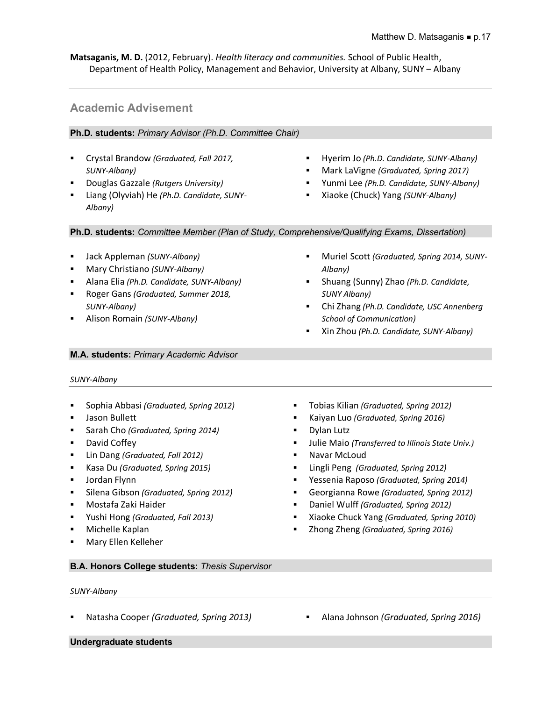**Matsaganis, M. D.** (2012, February). *Health literacy and communities.* School of Public Health, Department of Health Policy, Management and Behavior, University at Albany, SUNY – Albany

# **Academic Advisement**

# **Ph.D. students:** *Primary Advisor (Ph.D. Committee Chair)*

- § Crystal Brandow *(Graduated, Fall 2017, SUNY-Albany)*
- § Douglas Gazzale *(Rutgers University)*
- § Liang (Olyviah) He *(Ph.D. Candidate, SUNY-Albany)*
- § Hyerim Jo *(Ph.D. Candidate, SUNY-Albany)*
- § Mark LaVigne *(Graduated, Spring 2017)*
- § Yunmi Lee *(Ph.D. Candidate, SUNY-Albany)*

§ Muriel Scott *(Graduated, Spring 2014, SUNY-*

§ Shuang (Sunny) Zhao *(Ph.D. Candidate,* 

§ Chi Zhang *(Ph.D. Candidate, USC Annenberg* 

§ Xiaoke (Chuck) Yang *(SUNY-Albany)*

**Ph.D. students:** *Committee Member (Plan of Study, Comprehensive/Qualifying Exams, Dissertation)*

- § Jack Appleman *(SUNY-Albany)*
- § Mary Christiano *(SUNY-Albany)*
- § Alana Elia *(Ph.D. Candidate, SUNY-Albany)*
- § Roger Gans *(Graduated, Summer 2018, SUNY-Albany)*
- § Alison Romain *(SUNY-Albany)*

### **M.A. students:** *Primary Academic Advisor*

# *SUNY-Albany*

- § Sophia Abbasi *(Graduated, Spring 2012)*
- § Jason Bullett
- § Sarah Cho *(Graduated, Spring 2014)*
- David Coffey
- § Lin Dang *(Graduated, Fall 2012)*
- § Kasa Du *(Graduated, Spring 2015)*
- Jordan Flynn
- § Silena Gibson *(Graduated, Spring 2012)*
- § Mostafa Zaki Haider
- § Yushi Hong *(Graduated, Fall 2013)*
- § Michelle Kaplan
- § Mary Ellen Kelleher
- § Tobias Kilian *(Graduated, Spring 2012)*
- § Kaiyan Luo *(Graduated, Spring 2016)*
- § Dylan Lutz
- § Julie Maio *(Transferred to Illinois State Univ.)*
- Navar McLoud

*Albany)*

*SUNY Albany)*

- § Lingli Peng *(Graduated, Spring 2012)*
- § Yessenia Raposo *(Graduated, Spring 2014)*
- § Georgianna Rowe *(Graduated, Spring 2012)*
- § Daniel Wulff *(Graduated, Spring 2012)*
- § Xiaoke Chuck Yang *(Graduated, Spring 2010)*
- § Zhong Zheng *(Graduated, Spring 2016)*

**B.A. Honors College students:** *Thesis Supervisor*

#### *SUNY-Albany*

- 
- § Natasha Cooper *(Graduated, Spring 2013)* § Alana Johnson *(Graduated, Spring 2016)*

**Undergraduate students**

*School of Communication)* § Xin Zhou *(Ph.D. Candidate, SUNY-Albany)*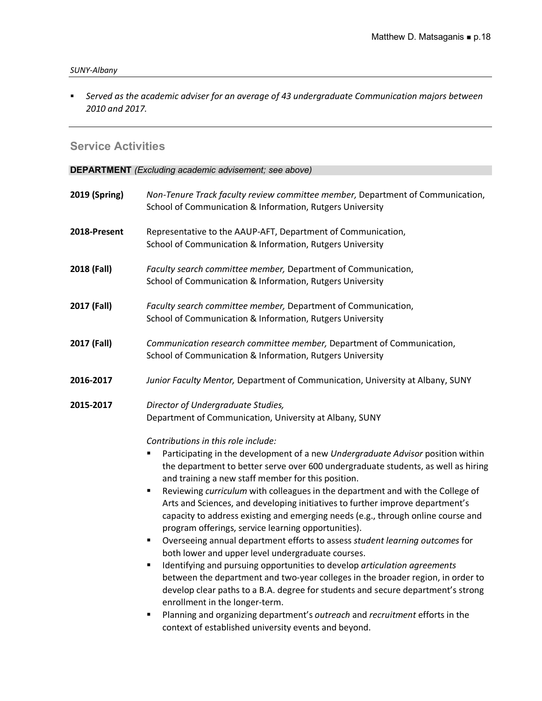§ *Served as the academic adviser for an average of 43 undergraduate Communication majors between 2010 and 2017.*

# **Service Activities**

**DEPARTMENT** *(Excluding academic advisement; see above)*

| 2019 (Spring) | Non-Tenure Track faculty review committee member, Department of Communication,<br>School of Communication & Information, Rutgers University                                                                                                                                                                                                                                                                                                                                                                                                                                                                                                                                                                                                                                                                                                                                                                                                                                                                                                                                                                                                                                                                                     |
|---------------|---------------------------------------------------------------------------------------------------------------------------------------------------------------------------------------------------------------------------------------------------------------------------------------------------------------------------------------------------------------------------------------------------------------------------------------------------------------------------------------------------------------------------------------------------------------------------------------------------------------------------------------------------------------------------------------------------------------------------------------------------------------------------------------------------------------------------------------------------------------------------------------------------------------------------------------------------------------------------------------------------------------------------------------------------------------------------------------------------------------------------------------------------------------------------------------------------------------------------------|
| 2018-Present  | Representative to the AAUP-AFT, Department of Communication,<br>School of Communication & Information, Rutgers University                                                                                                                                                                                                                                                                                                                                                                                                                                                                                                                                                                                                                                                                                                                                                                                                                                                                                                                                                                                                                                                                                                       |
| 2018 (Fall)   | Faculty search committee member, Department of Communication,<br>School of Communication & Information, Rutgers University                                                                                                                                                                                                                                                                                                                                                                                                                                                                                                                                                                                                                                                                                                                                                                                                                                                                                                                                                                                                                                                                                                      |
| 2017 (Fall)   | Faculty search committee member, Department of Communication,<br>School of Communication & Information, Rutgers University                                                                                                                                                                                                                                                                                                                                                                                                                                                                                                                                                                                                                                                                                                                                                                                                                                                                                                                                                                                                                                                                                                      |
| 2017 (Fall)   | Communication research committee member, Department of Communication,<br>School of Communication & Information, Rutgers University                                                                                                                                                                                                                                                                                                                                                                                                                                                                                                                                                                                                                                                                                                                                                                                                                                                                                                                                                                                                                                                                                              |
| 2016-2017     | Junior Faculty Mentor, Department of Communication, University at Albany, SUNY                                                                                                                                                                                                                                                                                                                                                                                                                                                                                                                                                                                                                                                                                                                                                                                                                                                                                                                                                                                                                                                                                                                                                  |
| 2015-2017     | Director of Undergraduate Studies,<br>Department of Communication, University at Albany, SUNY                                                                                                                                                                                                                                                                                                                                                                                                                                                                                                                                                                                                                                                                                                                                                                                                                                                                                                                                                                                                                                                                                                                                   |
|               | Contributions in this role include:<br>Participating in the development of a new Undergraduate Advisor position within<br>٠<br>the department to better serve over 600 undergraduate students, as well as hiring<br>and training a new staff member for this position.<br>Reviewing curriculum with colleagues in the department and with the College of<br>$\blacksquare$<br>Arts and Sciences, and developing initiatives to further improve department's<br>capacity to address existing and emerging needs (e.g., through online course and<br>program offerings, service learning opportunities).<br>Overseeing annual department efforts to assess student learning outcomes for<br>$\blacksquare$<br>both lower and upper level undergraduate courses.<br>Identifying and pursuing opportunities to develop articulation agreements<br>$\blacksquare$<br>between the department and two-year colleges in the broader region, in order to<br>develop clear paths to a B.A. degree for students and secure department's strong<br>enrollment in the longer-term.<br>Planning and organizing department's outreach and recruitment efforts in the<br>$\blacksquare$<br>context of established university events and beyond. |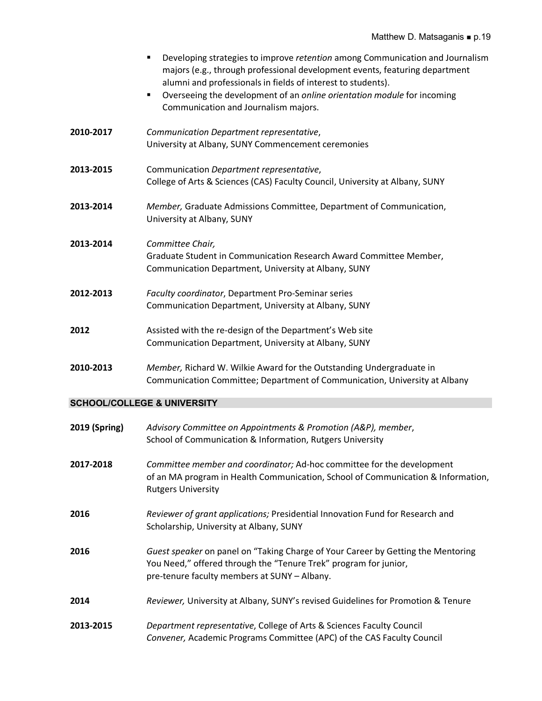|               | Developing strategies to improve retention among Communication and Journalism<br>٠<br>majors (e.g., through professional development events, featuring department<br>alumni and professionals in fields of interest to students).<br>Overseeing the development of an online orientation module for incoming<br>٠<br>Communication and Journalism majors. |
|---------------|-----------------------------------------------------------------------------------------------------------------------------------------------------------------------------------------------------------------------------------------------------------------------------------------------------------------------------------------------------------|
| 2010-2017     | Communication Department representative,<br>University at Albany, SUNY Commencement ceremonies                                                                                                                                                                                                                                                            |
| 2013-2015     | Communication Department representative,<br>College of Arts & Sciences (CAS) Faculty Council, University at Albany, SUNY                                                                                                                                                                                                                                  |
| 2013-2014     | Member, Graduate Admissions Committee, Department of Communication,<br>University at Albany, SUNY                                                                                                                                                                                                                                                         |
| 2013-2014     | Committee Chair,<br>Graduate Student in Communication Research Award Committee Member,<br>Communication Department, University at Albany, SUNY                                                                                                                                                                                                            |
| 2012-2013     | Faculty coordinator, Department Pro-Seminar series<br>Communication Department, University at Albany, SUNY                                                                                                                                                                                                                                                |
| 2012          | Assisted with the re-design of the Department's Web site<br>Communication Department, University at Albany, SUNY                                                                                                                                                                                                                                          |
| 2010-2013     | Member, Richard W. Wilkie Award for the Outstanding Undergraduate in<br>Communication Committee; Department of Communication, University at Albany                                                                                                                                                                                                        |
|               | <b>SCHOOL/COLLEGE &amp; UNIVERSITY</b>                                                                                                                                                                                                                                                                                                                    |
| 2019 (Spring) | Advisory Committee on Appointments & Promotion (A&P), member,<br>School of Communication & Information, Rutgers University                                                                                                                                                                                                                                |
| 2017-2018     | Committee member and coordinator; Ad-hoc committee for the development<br>of an MA program in Health Communication, School of Communication & Information,<br><b>Rutgers University</b>                                                                                                                                                                   |
| 2016          | Reviewer of grant applications; Presidential Innovation Fund for Research and<br>Scholarship, University at Albany, SUNY                                                                                                                                                                                                                                  |
| 2016          | Guest speaker on panel on "Taking Charge of Your Career by Getting the Mentoring<br>You Need," offered through the "Tenure Trek" program for junior,<br>pre-tenure faculty members at SUNY - Albany.                                                                                                                                                      |
| 2014          | Reviewer, University at Albany, SUNY's revised Guidelines for Promotion & Tenure                                                                                                                                                                                                                                                                          |
| 2013-2015     | Department representative, College of Arts & Sciences Faculty Council<br>Convener, Academic Programs Committee (APC) of the CAS Faculty Council                                                                                                                                                                                                           |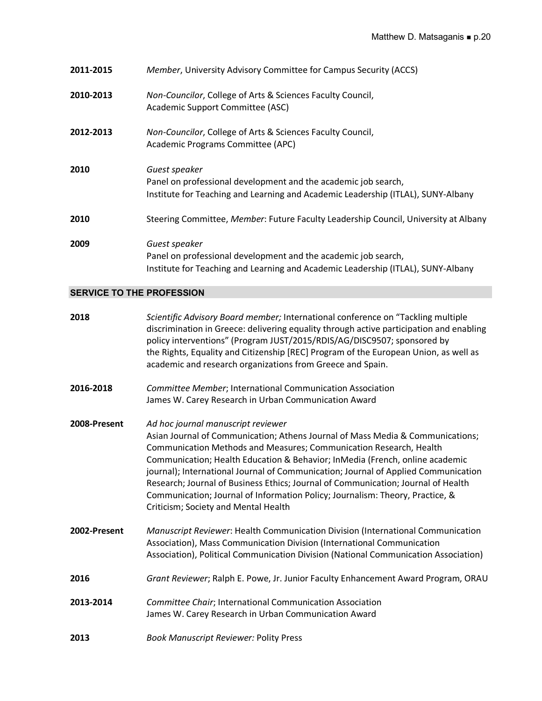| 2011-2015 | Member, University Advisory Committee for Campus Security (ACCS)                                                                                                    |
|-----------|---------------------------------------------------------------------------------------------------------------------------------------------------------------------|
| 2010-2013 | Non-Councilor, College of Arts & Sciences Faculty Council,<br>Academic Support Committee (ASC)                                                                      |
| 2012-2013 | Non-Councilor, College of Arts & Sciences Faculty Council,<br>Academic Programs Committee (APC)                                                                     |
| 2010      | Guest speaker<br>Panel on professional development and the academic job search,<br>Institute for Teaching and Learning and Academic Leadership (ITLAL), SUNY-Albany |
| 2010      | Steering Committee, Member: Future Faculty Leadership Council, University at Albany                                                                                 |
| 2009      | Guest speaker<br>Panel on professional development and the academic job search,<br>Institute for Teaching and Learning and Academic Leadership (ITLAL), SUNY-Albany |

# **SERVICE TO THE PROFESSION**

| 2018         | Scientific Advisory Board member; International conference on "Tackling multiple<br>discrimination in Greece: delivering equality through active participation and enabling<br>policy interventions" (Program JUST/2015/RDIS/AG/DISC9507; sponsored by<br>the Rights, Equality and Citizenship [REC] Program of the European Union, as well as<br>academic and research organizations from Greece and Spain.                                                                                                                                                                   |
|--------------|--------------------------------------------------------------------------------------------------------------------------------------------------------------------------------------------------------------------------------------------------------------------------------------------------------------------------------------------------------------------------------------------------------------------------------------------------------------------------------------------------------------------------------------------------------------------------------|
| 2016-2018    | Committee Member; International Communication Association<br>James W. Carey Research in Urban Communication Award                                                                                                                                                                                                                                                                                                                                                                                                                                                              |
| 2008-Present | Ad hoc journal manuscript reviewer<br>Asian Journal of Communication; Athens Journal of Mass Media & Communications;<br>Communication Methods and Measures; Communication Research, Health<br>Communication; Health Education & Behavior; InMedia (French, online academic<br>journal); International Journal of Communication; Journal of Applied Communication<br>Research; Journal of Business Ethics; Journal of Communication; Journal of Health<br>Communication; Journal of Information Policy; Journalism: Theory, Practice, &<br>Criticism; Society and Mental Health |
| 2002-Present | Manuscript Reviewer: Health Communication Division (International Communication<br>Association), Mass Communication Division (International Communication<br>Association), Political Communication Division (National Communication Association)                                                                                                                                                                                                                                                                                                                               |
| 2016         | Grant Reviewer; Ralph E. Powe, Jr. Junior Faculty Enhancement Award Program, ORAU                                                                                                                                                                                                                                                                                                                                                                                                                                                                                              |
| 2013-2014    | Committee Chair; International Communication Association<br>James W. Carey Research in Urban Communication Award                                                                                                                                                                                                                                                                                                                                                                                                                                                               |
| 2013         | <b>Book Manuscript Reviewer: Polity Press</b>                                                                                                                                                                                                                                                                                                                                                                                                                                                                                                                                  |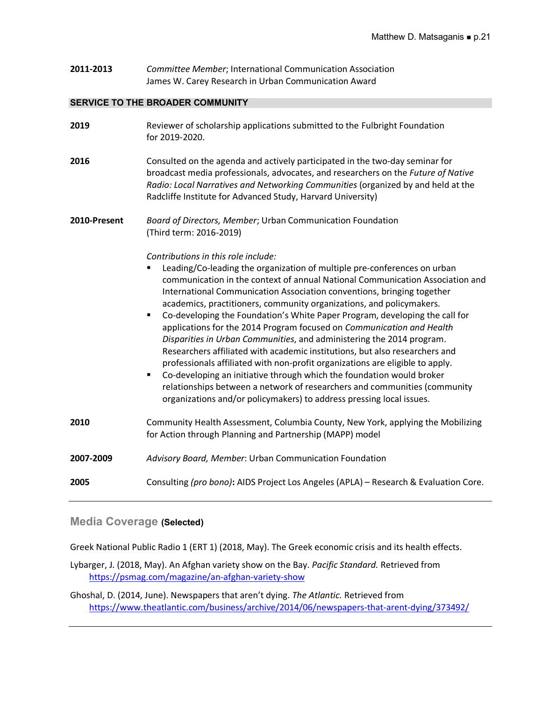**2011-2013** *Committee Member*; International Communication Association James W. Carey Research in Urban Communication Award

### **SERVICE TO THE BROADER COMMUNITY**

| 2019         | Reviewer of scholarship applications submitted to the Fulbright Foundation<br>for 2019-2020.                                                                                                                                                                                                                                                                                                                                                                                                                                                                                                                                                                                                                                                                                                                                                                                                                                                                                                                               |
|--------------|----------------------------------------------------------------------------------------------------------------------------------------------------------------------------------------------------------------------------------------------------------------------------------------------------------------------------------------------------------------------------------------------------------------------------------------------------------------------------------------------------------------------------------------------------------------------------------------------------------------------------------------------------------------------------------------------------------------------------------------------------------------------------------------------------------------------------------------------------------------------------------------------------------------------------------------------------------------------------------------------------------------------------|
| 2016         | Consulted on the agenda and actively participated in the two-day seminar for<br>broadcast media professionals, advocates, and researchers on the Future of Native<br>Radio: Local Narratives and Networking Communities (organized by and held at the<br>Radcliffe Institute for Advanced Study, Harvard University)                                                                                                                                                                                                                                                                                                                                                                                                                                                                                                                                                                                                                                                                                                       |
| 2010-Present | Board of Directors, Member; Urban Communication Foundation<br>(Third term: 2016-2019)                                                                                                                                                                                                                                                                                                                                                                                                                                                                                                                                                                                                                                                                                                                                                                                                                                                                                                                                      |
|              | Contributions in this role include:<br>Leading/Co-leading the organization of multiple pre-conferences on urban<br>٠<br>communication in the context of annual National Communication Association and<br>International Communication Association conventions, bringing together<br>academics, practitioners, community organizations, and policymakers.<br>Co-developing the Foundation's White Paper Program, developing the call for<br>$\blacksquare$<br>applications for the 2014 Program focused on Communication and Health<br>Disparities in Urban Communities, and administering the 2014 program.<br>Researchers affiliated with academic institutions, but also researchers and<br>professionals affiliated with non-profit organizations are eligible to apply.<br>Co-developing an initiative through which the foundation would broker<br>$\blacksquare$<br>relationships between a network of researchers and communities (community<br>organizations and/or policymakers) to address pressing local issues. |
| 2010         | Community Health Assessment, Columbia County, New York, applying the Mobilizing<br>for Action through Planning and Partnership (MAPP) model                                                                                                                                                                                                                                                                                                                                                                                                                                                                                                                                                                                                                                                                                                                                                                                                                                                                                |
| 2007-2009    | Advisory Board, Member: Urban Communication Foundation                                                                                                                                                                                                                                                                                                                                                                                                                                                                                                                                                                                                                                                                                                                                                                                                                                                                                                                                                                     |
| 2005         | Consulting (pro bono): AIDS Project Los Angeles (APLA) - Research & Evaluation Core.                                                                                                                                                                                                                                                                                                                                                                                                                                                                                                                                                                                                                                                                                                                                                                                                                                                                                                                                       |

# **Media Coverage (Selected)**

Greek National Public Radio 1 (ERT 1) (2018, May). The Greek economic crisis and its health effects.

Lybarger, J. (2018, May). An Afghan variety show on the Bay. *Pacific Standard.* Retrieved from https://psmag.com/magazine/an-afghan-variety-show

Ghoshal, D. (2014, June). Newspapers that aren't dying. *The Atlantic.* Retrieved from https://www.theatlantic.com/business/archive/2014/06/newspapers-that-arent-dying/373492/